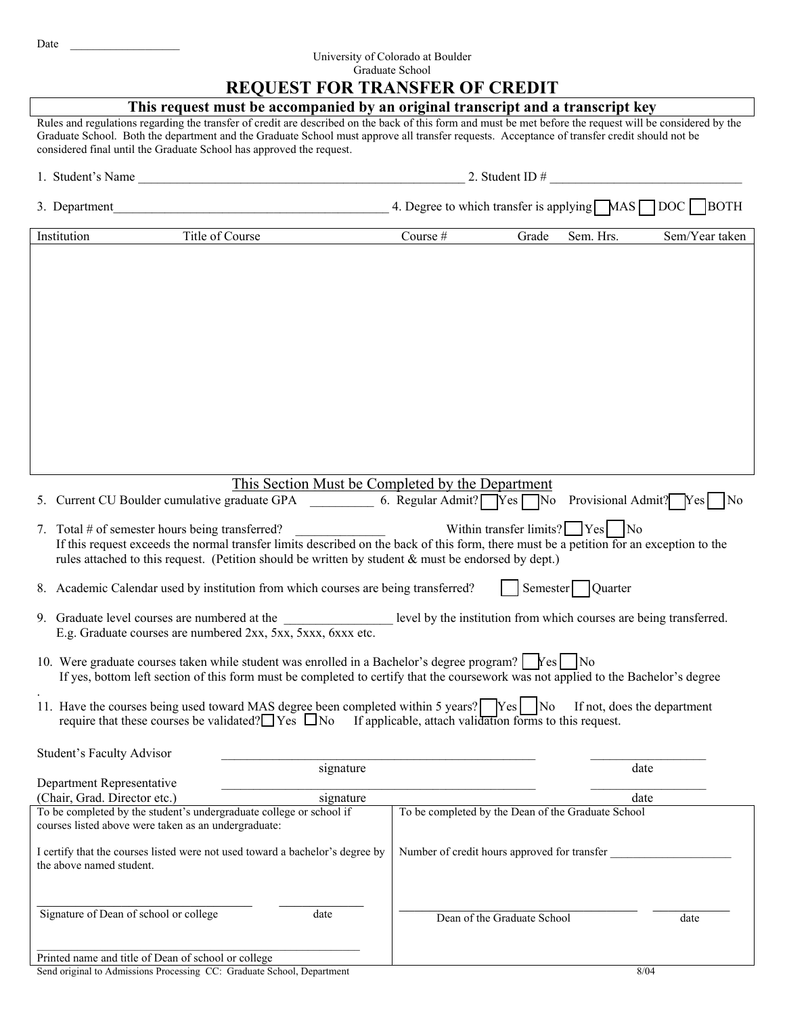## University of Colorado at Boulder Graduate School

## **REQUEST FOR TRANSFER OF CREDIT**

|                                                                                                                                                                                                                                                                                                                                                                                    | <b>REQUEST FOR TRANSFER OF CREDIT</b>                                                                                                                                                    |  |  |  |
|------------------------------------------------------------------------------------------------------------------------------------------------------------------------------------------------------------------------------------------------------------------------------------------------------------------------------------------------------------------------------------|------------------------------------------------------------------------------------------------------------------------------------------------------------------------------------------|--|--|--|
| This request must be accompanied by an original transcript and a transcript key                                                                                                                                                                                                                                                                                                    |                                                                                                                                                                                          |  |  |  |
| Rules and regulations regarding the transfer of credit are described on the back of this form and must be met before the request will be considered by the<br>Graduate School. Both the department and the Graduate School must approve all transfer requests. Acceptance of transfer credit should not be<br>considered final until the Graduate School has approved the request. |                                                                                                                                                                                          |  |  |  |
| 1. Student's Name                                                                                                                                                                                                                                                                                                                                                                  | 2. Student ID $\#$                                                                                                                                                                       |  |  |  |
|                                                                                                                                                                                                                                                                                                                                                                                    |                                                                                                                                                                                          |  |  |  |
| Title of Course<br>Institution                                                                                                                                                                                                                                                                                                                                                     | Course #<br>Sem. Hrs.<br>Grade<br>Sem/Year taken                                                                                                                                         |  |  |  |
|                                                                                                                                                                                                                                                                                                                                                                                    |                                                                                                                                                                                          |  |  |  |
|                                                                                                                                                                                                                                                                                                                                                                                    | This Section Must be Completed by the Department                                                                                                                                         |  |  |  |
|                                                                                                                                                                                                                                                                                                                                                                                    |                                                                                                                                                                                          |  |  |  |
| 7. Total $#$ of semester hours being transferred?<br>rules attached to this request. (Petition should be written by student $\&$ must be endorsed by dept.)                                                                                                                                                                                                                        | Within transfer limits? $\Box$ Yes $\vert$ No<br>If this request exceeds the normal transfer limits described on the back of this form, there must be a petition for an exception to the |  |  |  |
| 8. Academic Calendar used by institution from which courses are being transferred?                                                                                                                                                                                                                                                                                                 | Semester Quarter                                                                                                                                                                         |  |  |  |
| 9. Graduate level courses are numbered at the ___________________ level by the institution from which courses are being transferred.<br>E.g. Graduate courses are numbered 2xx, 5xx, 5xxx, 6xxx etc.                                                                                                                                                                               |                                                                                                                                                                                          |  |  |  |
| 10. Were graduate courses taken while student was enrolled in a Bachelor's degree program? Fes No                                                                                                                                                                                                                                                                                  | If yes, bottom left section of this form must be completed to certify that the coursework was not applied to the Bachelor's degree                                                       |  |  |  |
| 11. Have the courses being used toward MAS degree been completed within 5 years? Ves   No<br>require that these courses be validated? $\Box$ Yes $\Box$ No If applicable, attach validation forms to this request.                                                                                                                                                                 | If not, does the department                                                                                                                                                              |  |  |  |
| Student's Faculty Advisor                                                                                                                                                                                                                                                                                                                                                          |                                                                                                                                                                                          |  |  |  |
| signature<br>Department Representative                                                                                                                                                                                                                                                                                                                                             | date                                                                                                                                                                                     |  |  |  |
| signature<br>(Chair, Grad. Director etc.)                                                                                                                                                                                                                                                                                                                                          | date                                                                                                                                                                                     |  |  |  |
| To be completed by the student's undergraduate college or school if<br>courses listed above were taken as an undergraduate:                                                                                                                                                                                                                                                        | To be completed by the Dean of the Graduate School                                                                                                                                       |  |  |  |
| I certify that the courses listed were not used toward a bachelor's degree by<br>the above named student.                                                                                                                                                                                                                                                                          | Number of credit hours approved for transfer                                                                                                                                             |  |  |  |
| Signature of Dean of school or college<br>date                                                                                                                                                                                                                                                                                                                                     | Dean of the Graduate School<br>date                                                                                                                                                      |  |  |  |

Printed name and title of Dean of school or college Send original to Admissions Processing CC: Graduate School, Department 8/04